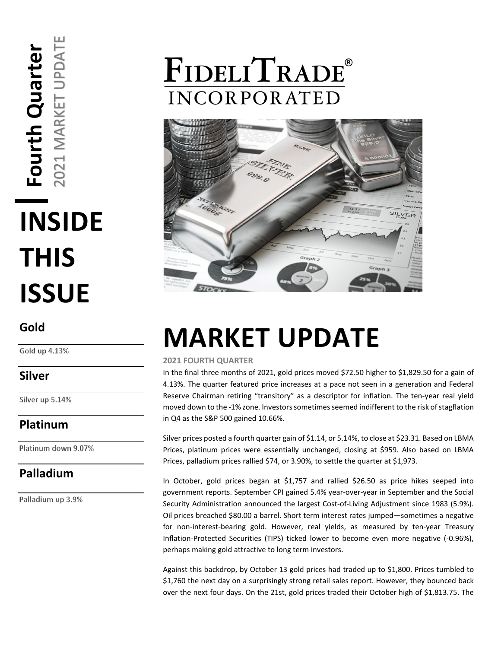# MARKET UPDATE **Fourth Quarter**  Fourth Quarter  $\overline{\phantom{0}}$ 202 **INSIDE THIS ISSUE**

#### **Gold**

Gold up 4.13%

#### **Silver**

Silver up 5.14%

### **Platinum**

Platinum down 9.07%

### **Palladium**

Palladium up 3.9%

## FIDELITRADE® **INCORPORATED**



## **MARKET UPDATE**

#### **2021 FOURTH QUARTER**

In the final three months of 2021, gold prices moved \$72.50 higher to \$1,829.50 for a gain of 4.13%. The quarter featured price increases at a pace not seen in a generation and Federal Reserve Chairman retiring "transitory" as a descriptor for inflation. The ten-year real yield moved down to the -1% zone. Investors sometimes seemed indifferent to the risk of stagflation in Q4 as the S&P 500 gained 10.66%.

Silver prices posted a fourth quarter gain of \$1.14, or 5.14%, to close at \$23.31. Based on LBMA Prices, platinum prices were essentially unchanged, closing at \$959. Also based on LBMA Prices, palladium prices rallied \$74, or 3.90%, to settle the quarter at \$1,973.

In October, gold prices began at \$1,757 and rallied \$26.50 as price hikes seeped into government reports. September CPI gained 5.4% year-over-year in September and the Social Security Administration announced the largest Cost-of-Living Adjustment since 1983 (5.9%). Oil prices breached \$80.00 a barrel. Short term interest rates jumped—sometimes a negative for non-interest-bearing gold. However, real yields, as measured by ten-year Treasury Inflation-Protected Securities (TIPS) ticked lower to become even more negative (-0.96%), perhaps making gold attractive to long term investors.

Against this backdrop, by October 13 gold prices had traded up to \$1,800. Prices tumbled to \$1,760 the next day on a surprisingly strong retail sales report. However, they bounced back over the next four days. On the 21st, gold prices traded their October high of \$1,813.75. The